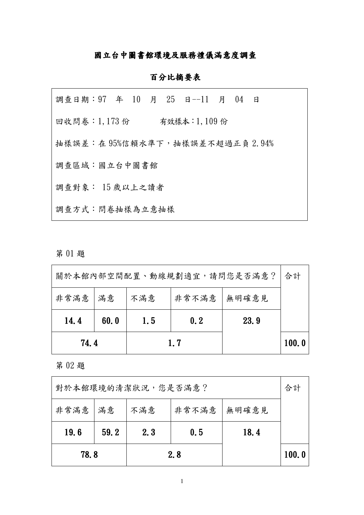#### 國立台中圖書館環境及服務禮儀滿意度調查

#### 百分比摘要表

| 調查日期: 97 年 10 月 25 日--11 月 04 日 |  |  |              |  |  |
|---------------------------------|--|--|--------------|--|--|
| 回收問卷:1,173份                     |  |  | 有效樣本:1,109 份 |  |  |
| 抽樣誤差:在95%信賴水準下,抽樣誤差不超過正負2.94%   |  |  |              |  |  |
| 調查區域:國立台中圖書館                    |  |  |              |  |  |
| 調查對象: 15歲以上之讀者                  |  |  |              |  |  |
| 調查方式:問卷抽樣為立意抽樣                  |  |  |              |  |  |

## 第01題

| 關於本館內部空間配置、動線規劃適宜,請問您是否滿意? |      |                                                   |     |  |       |  |  |  |
|----------------------------|------|---------------------------------------------------|-----|--|-------|--|--|--|
| 非常滿意   滿意                  |      | 合計<br>非常不滿意<br>無明確意見<br>不滿意<br>1.5<br>23.9<br>0.2 |     |  |       |  |  |  |
| 14.4                       | 60.0 |                                                   |     |  |       |  |  |  |
| 74.4                       |      |                                                   | 1.7 |  | 100.0 |  |  |  |

第02題

| 對於本館環境的清潔狀況,您是否滿意? |      |                       |             |  |       |  |  |  |  |
|--------------------|------|-----------------------|-------------|--|-------|--|--|--|--|
| 非常滿意   滿意          |      | 非常不滿意<br>無明確意見<br>不滿意 |             |  |       |  |  |  |  |
| 19.6               | 59.2 | 2.3                   | 18.4<br>0.5 |  |       |  |  |  |  |
| 78.8               |      |                       | 2.8         |  | 100.0 |  |  |  |  |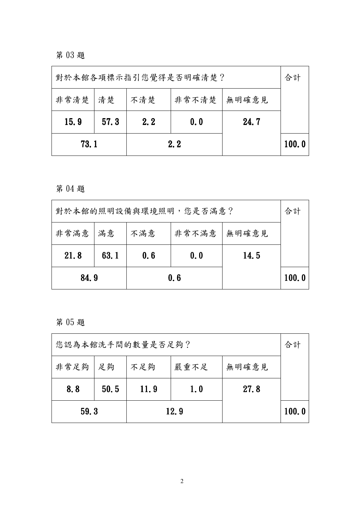第03題

|                                    | 對於本館各項標示指引您覺得是否明確清楚?       |  |     |  |       |  |  |  |
|------------------------------------|----------------------------|--|-----|--|-------|--|--|--|
| 非常清楚   清楚<br>非常不清楚<br>不清楚<br>無明確意見 |                            |  |     |  |       |  |  |  |
| 15.9                               | 57.3<br>2.2<br>24.7<br>0.0 |  |     |  |       |  |  |  |
| 73.1                               |                            |  | 2.2 |  | 100.0 |  |  |  |

第04題

| 對於本館的照明設備與環境照明,您是否滿意?               |             |     |     |      |  |  |  |  |
|-------------------------------------|-------------|-----|-----|------|--|--|--|--|
| 非常滿意<br>非常不滿意<br>滿意<br>不滿意<br>無明確意見 |             |     |     |      |  |  |  |  |
| 21.8                                | 63.1        | 0.6 | 0.0 | 14.5 |  |  |  |  |
|                                     | 84.9<br>0.6 |     |     |      |  |  |  |  |

第05題

| 59.3             |      |             |                       |  | 100.0 |  |  |  |  |
|------------------|------|-------------|-----------------------|--|-------|--|--|--|--|
| 8.8              | 50.5 | <b>11.9</b> | 27.8<br>1.0           |  |       |  |  |  |  |
| 非常足夠  足夠         |      | 不足夠         | 無明確意見<br>嚴重不足<br>12.9 |  |       |  |  |  |  |
| 您認為本館洗手間的數量是否足夠? |      |             |                       |  |       |  |  |  |  |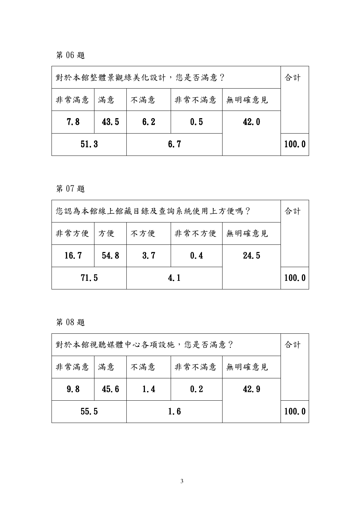第06題

|                                       | 對於本館整體景觀綠美化設計,您是否滿意?       |  |     |  |       |  |  |  |
|---------------------------------------|----------------------------|--|-----|--|-------|--|--|--|
| 非常滿意<br>非常不滿意<br>不滿意<br>無明確意見<br>  滿意 |                            |  |     |  |       |  |  |  |
| 7.8                                   | 6.2<br>0.5<br>43.5<br>42.0 |  |     |  |       |  |  |  |
| 51.3                                  |                            |  | 6.7 |  | 100.0 |  |  |  |

第07題

| 您認為本館線上館藏目錄及查詢系統使用上方便嗎?            |                                    |  |      |  |       |  |  |  |
|------------------------------------|------------------------------------|--|------|--|-------|--|--|--|
|                                    | 非常不方便<br>非常方便   方便<br>無明確意見<br>不方便 |  |      |  |       |  |  |  |
| 16.7<br>3.7<br>24.5<br>54.8<br>0.4 |                                    |  |      |  |       |  |  |  |
| 71.5                               |                                    |  | 4. 1 |  | 100.0 |  |  |  |

第08題

| 對於本館視聽媒體中心各項設施,您是否滿意? |      |                                                          |  |  |       |  |  |  |  |
|-----------------------|------|----------------------------------------------------------|--|--|-------|--|--|--|--|
| 非常滿意   滿意             |      | 合計<br>非常不滿意<br>無明確意見<br>不滿意<br>42.9<br>0.2<br>1.4<br>1.6 |  |  |       |  |  |  |  |
| 9.8                   | 45.6 |                                                          |  |  |       |  |  |  |  |
| 55.5                  |      |                                                          |  |  | 100.0 |  |  |  |  |

 $\overline{3}$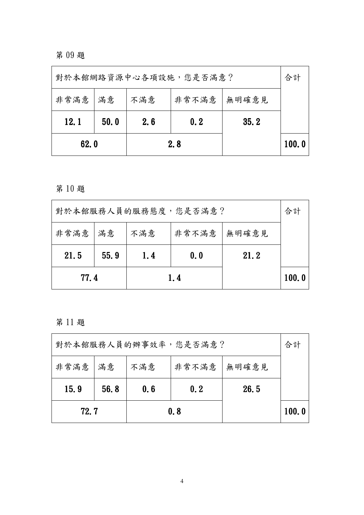第09題

| 對於本館網路資源中心各項設施,您是否滿意? |                             |                    |     |  |       |  |  |  |
|-----------------------|-----------------------------|--------------------|-----|--|-------|--|--|--|
| 非常满意                  | 非常不滿意<br>無明確意見<br>不滿意<br>滿意 |                    |     |  |       |  |  |  |
| <b>12.1</b>           | 50.0                        | 35.2<br>0.2<br>2.6 |     |  |       |  |  |  |
| 62.0                  |                             |                    | 2.8 |  | 100.0 |  |  |  |

第10題

| 對於本館服務人員的服務態度,您是否滿意? |                               |  |  |  |  |  |  |  |
|----------------------|-------------------------------|--|--|--|--|--|--|--|
| 非常满意                 | 非常不滿意<br>  滿意<br>不滿意<br>無明確意見 |  |  |  |  |  |  |  |
| 21.5                 | 55.9<br>21.2<br>1.4<br>0.0    |  |  |  |  |  |  |  |
|                      | 77.4<br>1.4                   |  |  |  |  |  |  |  |

第11題

| 對於本館服務人員的辦事效率,您是否滿意? |      |     |                                      |  |       |  |  |  |  |
|----------------------|------|-----|--------------------------------------|--|-------|--|--|--|--|
| 非常滿意   滿意            |      | 不滿意 | 非常不滿意<br>無明確意見<br>26.5<br>0.6<br>0.2 |  |       |  |  |  |  |
| 15.9                 | 56.8 |     |                                      |  |       |  |  |  |  |
| 72.7                 |      |     | 0.8                                  |  | 100.0 |  |  |  |  |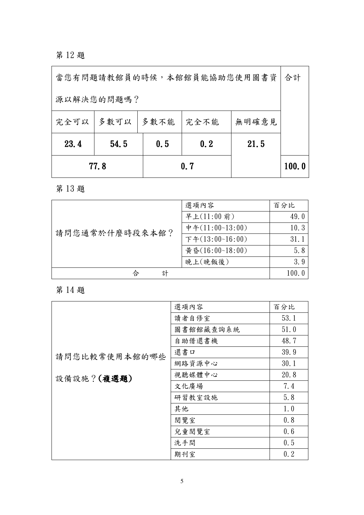第12題

| 當您有問題請教館員的時候,本館館員能協助您使用圖書資 |                            |                       |      |  | 合計    |
|----------------------------|----------------------------|-----------------------|------|--|-------|
| 源以解決您的問題嗎?                 |                            |                       |      |  |       |
| 完全可以                       | 多數可以                       | 無明確意見<br>多數不能<br>完全不能 |      |  |       |
| 23.4                       | 54.5<br>0.5<br>0.2<br>21.5 |                       |      |  |       |
|                            | 77.8                       |                       | 0. 7 |  | 100.0 |

第13題

|                | 選項內容               | 百分比   |
|----------------|--------------------|-------|
|                | 早上(11:00前)         | 49.0  |
| 請問您通常於什麼時段來本館? | 中午 $(11:00~13:00)$ | 10.3  |
|                | 下午 $(13:00~16:00)$ | 31.1  |
|                | 黃昏(16:00~18:00)    | 5.8   |
|                | 晚上(晚飯後)            | 3.9   |
| 合<br>計         |                    | 100.0 |

第14題

|               | 選項內容      | 百分比  |
|---------------|-----------|------|
|               | 讀者自修室     | 53.1 |
|               | 圖書館館藏查詢系統 | 51.0 |
|               | 自助借還書機    | 48.7 |
| 請問您比較常使用本館的哪些 | 還書口       | 39.9 |
|               | 網路資源中心    | 30.1 |
| 設備設施?(複選題)    | 視聽媒體中心    | 20.8 |
|               | 文化廣場      | 7.4  |
|               | 研習教室設施    | 5.8  |
|               | 其他        | 1.0  |
|               | 閱覽室       | 0.8  |
|               | 兒童閱覽室     | 0.6  |
|               | 洗手間       | 0.5  |
|               | 期刊室       | 0.2  |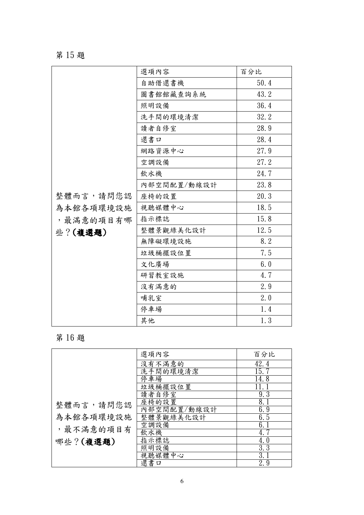## 第15題

|           | 選項內容        | 百分比  |
|-----------|-------------|------|
|           | 自助借還書機      | 50.4 |
|           | 圖書館館藏查詢系統   | 43.2 |
|           | 照明設備        | 36.4 |
|           | 洗手間的環境清潔    | 32.2 |
|           | 讀者自修室       | 28.9 |
|           | 還書口         | 28.4 |
|           | 網路資源中心      | 27.9 |
|           | 空調設備        | 27.2 |
|           | 飲水機         | 24.7 |
|           | 內部空間配置/動線設計 | 23.8 |
| 整體而言,請問您認 | 座椅的設置       | 20.3 |
| 為本館各項環境設施 | 視聽媒體中心      | 18.5 |
| ,最滿意的項目有哪 | 指示標誌        | 15.8 |
| 些?(複選題)   | 整體景觀綠美化設計   | 12.5 |
|           | 無障礙環境設施     | 8.2  |
|           | 垃圾桶擺設位置     | 7.5  |
|           | 文化廣場        | 6.0  |
|           | 研習教室設施      | 4.7  |
|           | 沒有滿意的       | 2.9  |
|           | 哺乳室         | 2.0  |
|           | 停車場         | 1.4  |
|           | 其他          | 1.3  |

# 第16題

|            | 選項內容        | 百分比  |
|------------|-------------|------|
|            | 沒有不滿意的      | 42.4 |
|            | 洗手間的環境清潔    | 15.7 |
|            | 停車場         | 14.8 |
|            | 垃圾桶擺設位置     |      |
|            | 讀者自修室       | 9.3  |
| 整體而言,請問您認  | 座椅的設置       | 8.1  |
|            | 內部空間配置/動線設計 | 6.9  |
| 為本館各項環境設施  | 整體景觀綠美化設計   | 6.5  |
|            | 空調設備        | 6.1  |
| , 最不滿意的項目有 | 飲水機         | 4.7  |
| 哪些?(複選題)   | 指示標誌        | 4.0  |
|            | 照明設備        | 3.3  |
|            | 視聽媒體中心      | 3.   |
|            | 還書口         | 2.9  |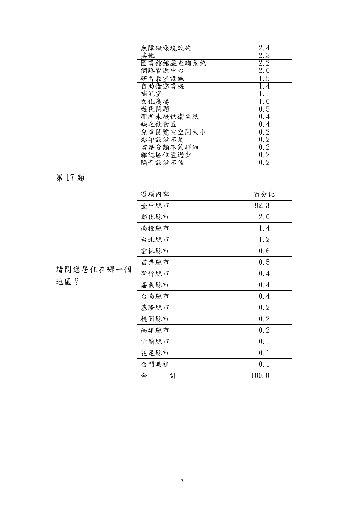| 無障礙環境設施   | 2.4              |
|-----------|------------------|
| 其他        | 2, 3             |
| 圖書館館藏查詢系統 | 2.2              |
| 網路資源中心    | 2.0              |
| 研習教室設施    | $\overline{1.5}$ |
| 自助借還書機    | 1.4              |
| 哺乳室       |                  |
| 文化廣場      | 1.0              |
| 遊民問題      | 0.5              |
| 廁所未提供衛生紙  | 0.4              |
| 缺乏飲食區     | 0.4              |
| 兒童閱覽室空間太小 | 0.2              |
| 影印設備不足    | 0.2              |
| 書籍分類不夠詳細  | 0.2              |
| 雜誌區位置過少   | 0.2              |
| 隔音設備不佳    | 0.2              |

第17題

|           | 選項內容   | 百分比   |
|-----------|--------|-------|
|           | 臺中縣市   | 92.3  |
|           | 彰化縣市   | 2.0   |
|           | 南投縣市   | 1.4   |
|           | 台北縣市   | 1.2   |
|           | 雲林縣市   | 0.6   |
|           | 苗栗縣市   | 0.5   |
| 請問您居住在哪一個 | 新竹縣市   | 0.4   |
| 地區?       | 嘉義縣市   | 0.4   |
|           | 台南縣市   | 0.4   |
|           | 基隆縣市   | 0.2   |
|           | 桃園縣市   | 0.2   |
|           | 高雄縣市   | 0.2   |
|           | 宜蘭縣市   | 0.1   |
|           | 花蓮縣市   | 0.1   |
|           | 金門馬祖   | 0.1   |
|           | 合<br>計 | 100.0 |
|           |        |       |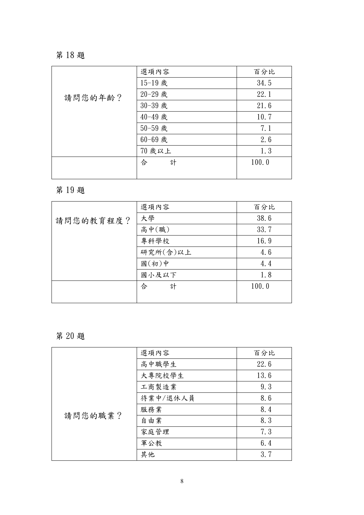## 第18題

|         | 選項內容    | 百分比   |
|---------|---------|-------|
| 請問您的年齡? | 15-19 歲 | 34.5  |
|         | 20-29 歲 | 22.1  |
|         | 30-39 歲 | 21.6  |
|         | 40-49 歲 | 10.7  |
|         | 50-59 歲 | 7.1   |
|         | 60-69 歲 | 2.6   |
|         | 70 歲以上  | 1.3   |
|         | 計<br>合  | 100.0 |
|         |         |       |

## 第19題

|           | 選項內容     | 百分比   |
|-----------|----------|-------|
| 請問您的教育程度? | 大學       | 38.6  |
|           | 高中(職)    | 33.7  |
|           | 專科學校     | 16.9  |
|           | 研究所(含)以上 | 4.6   |
|           | 國(初)中    | 4.4   |
|           | 國小及以下    | 1.8   |
|           | 計<br>合   | 100.0 |
|           |          |       |

## 第20題

|         | 選項內容     | 百分比  |
|---------|----------|------|
|         | 高中職學生    | 22.6 |
|         | 大專院校學生   | 13.6 |
|         | 工商製造業    | 9.3  |
|         | 待業中/退休人員 | 8.6  |
| 請問您的職業? | 服務業      | 8.4  |
|         | 自由業      | 8.3  |
|         | 家庭管理     | 7.3  |
|         | 軍公教      | 6.4  |
|         | 其他       | 3.7  |